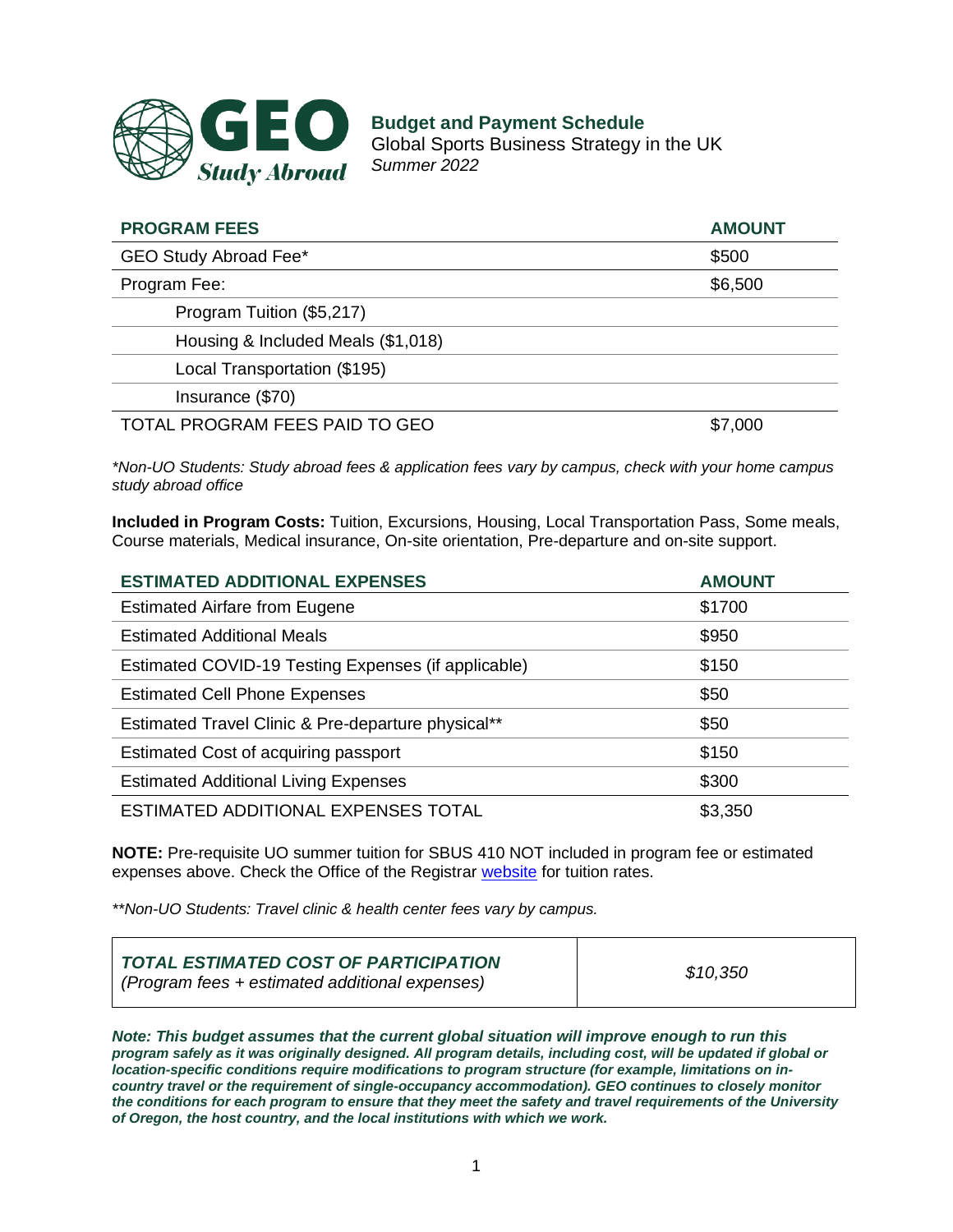

**Budget and Payment Schedule** Global Sports Business Strategy in the UK *Summer 2022*

| <b>PROGRAM FEES</b>                | <b>AMOUNT</b> |
|------------------------------------|---------------|
| GEO Study Abroad Fee*              | \$500         |
| Program Fee:                       | \$6,500       |
| Program Tuition (\$5,217)          |               |
| Housing & Included Meals (\$1,018) |               |
| Local Transportation (\$195)       |               |
| Insurance (\$70)                   |               |
| TOTAL PROGRAM FEES PAID TO GEO     | \$7,000       |

*\*Non-UO Students: Study abroad fees & application fees vary by campus, check with your home campus study abroad office*

**Included in Program Costs:** Tuition, Excursions, Housing, Local Transportation Pass, Some meals, Course materials, Medical insurance, On-site orientation, Pre-departure and on-site support.

| <b>ESTIMATED ADDITIONAL EXPENSES</b>                | <b>AMOUNT</b> |
|-----------------------------------------------------|---------------|
| <b>Estimated Airfare from Eugene</b>                | \$1700        |
| <b>Estimated Additional Meals</b>                   | \$950         |
| Estimated COVID-19 Testing Expenses (if applicable) | \$150         |
| <b>Estimated Cell Phone Expenses</b>                | \$50          |
| Estimated Travel Clinic & Pre-departure physical**  | \$50          |
| Estimated Cost of acquiring passport                | \$150         |
| <b>Estimated Additional Living Expenses</b>         | \$300         |
| ESTIMATED ADDITIONAL EXPENSES TOTAL                 | \$3,350       |

**NOTE:** Pre-requisite UO summer tuition for SBUS 410 NOT included in program fee or estimated expenses above. Check the Office of the Registrar [website](https://registrar.uoregon.edu/tuition-fees/undergraduate) for tuition rates.

*\*\*Non-UO Students: Travel clinic & health center fees vary by campus.*

*Note: This budget assumes that the current global situation will improve enough to run this program safely as it was originally designed. All program details, including cost, will be updated if global or location-specific conditions require modifications to program structure (for example, limitations on incountry travel or the requirement of single-occupancy accommodation). GEO continues to closely monitor the conditions for each program to ensure that they meet the safety and travel requirements of the University of Oregon, the host country, and the local institutions with which we work.*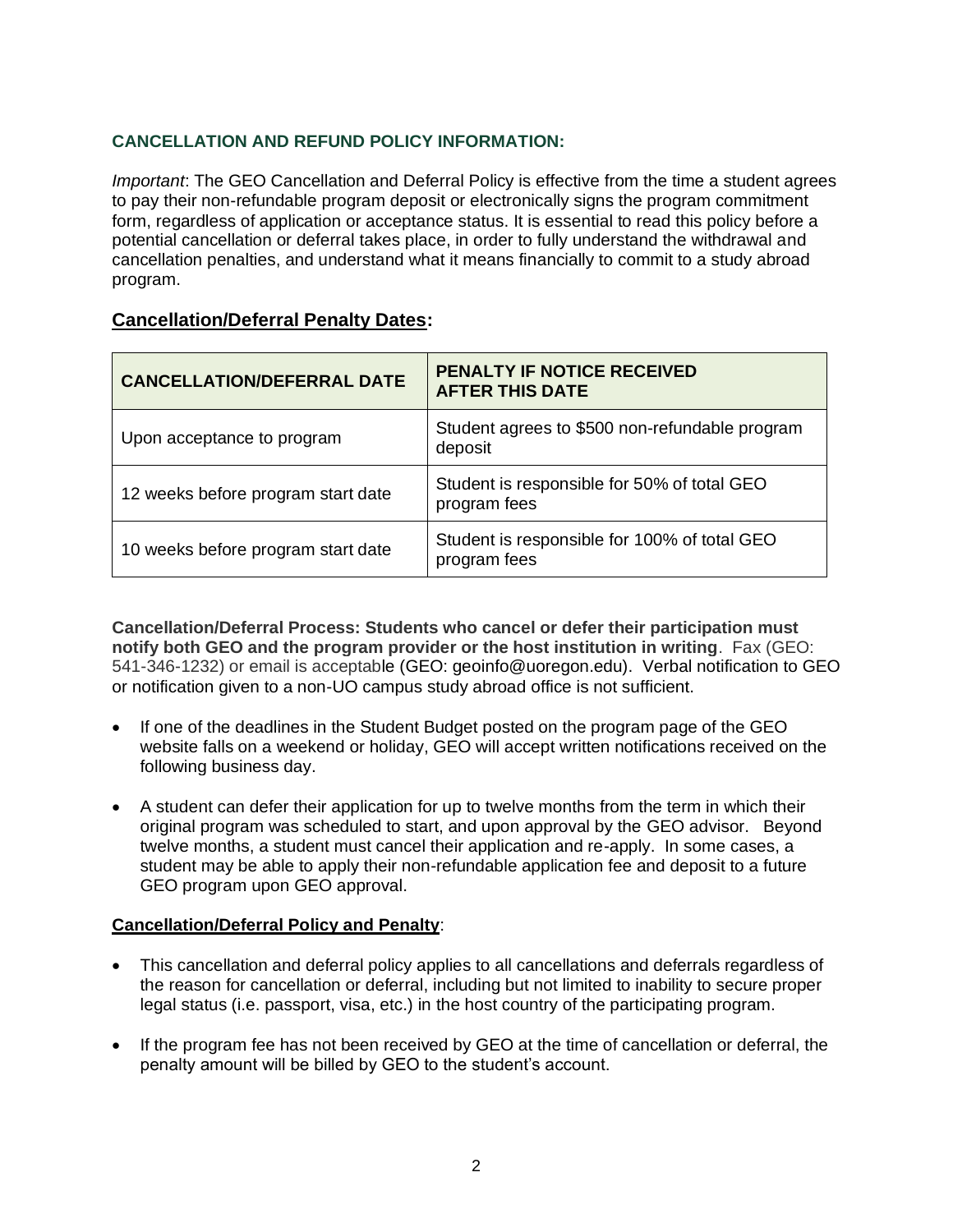## **CANCELLATION AND REFUND POLICY INFORMATION:**

*Important*: The GEO Cancellation and Deferral Policy is effective from the time a student agrees to pay their non-refundable program deposit or electronically signs the program commitment form, regardless of application or acceptance status. It is essential to read this policy before a potential cancellation or deferral takes place, in order to fully understand the withdrawal and cancellation penalties, and understand what it means financially to commit to a study abroad program.

## **Cancellation/Deferral Penalty Dates:**

| <b>CANCELLATION/DEFERRAL DATE</b>  | PENALTY IF NOTICE RECEIVED<br><b>AFTER THIS DATE</b>         |
|------------------------------------|--------------------------------------------------------------|
| Upon acceptance to program         | Student agrees to \$500 non-refundable program<br>deposit    |
| 12 weeks before program start date | Student is responsible for 50% of total GEO<br>program fees  |
| 10 weeks before program start date | Student is responsible for 100% of total GEO<br>program fees |

**Cancellation/Deferral Process: Students who cancel or defer their participation must notify both GEO and the program provider or the host institution in writing**. Fax (GEO: 541-346-1232) or email is acceptable (GEO: geoinfo@uoregon.edu). Verbal notification to GEO or notification given to a non-UO campus study abroad office is not sufficient.

- If one of the deadlines in the Student Budget posted on the program page of the GEO website falls on a weekend or holiday, GEO will accept written notifications received on the following business day.
- A student can defer their application for up to twelve months from the term in which their original program was scheduled to start, and upon approval by the GEO advisor. Beyond twelve months, a student must cancel their application and re-apply. In some cases, a student may be able to apply their non-refundable application fee and deposit to a future GEO program upon GEO approval.

## **Cancellation/Deferral Policy and Penalty**:

- This cancellation and deferral policy applies to all cancellations and deferrals regardless of the reason for cancellation or deferral, including but not limited to inability to secure proper legal status (i.e. passport, visa, etc.) in the host country of the participating program.
- If the program fee has not been received by GEO at the time of cancellation or deferral, the penalty amount will be billed by GEO to the student's account.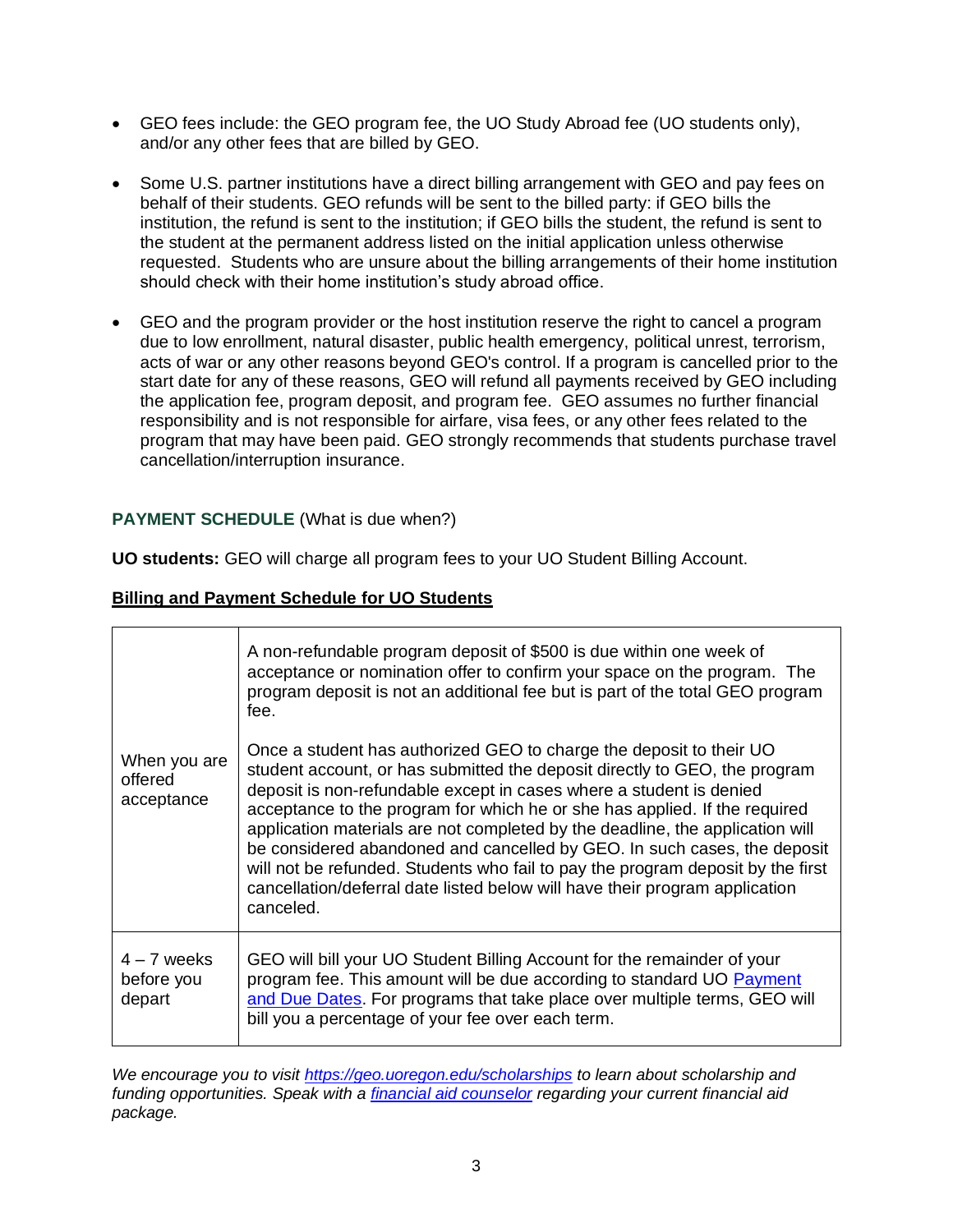- GEO fees include: the GEO program fee, the UO Study Abroad fee (UO students only), and/or any other fees that are billed by GEO.
- Some U.S. partner institutions have a direct billing arrangement with GEO and pay fees on behalf of their students. GEO refunds will be sent to the billed party: if GEO bills the institution, the refund is sent to the institution; if GEO bills the student, the refund is sent to the student at the permanent address listed on the initial application unless otherwise requested. Students who are unsure about the billing arrangements of their home institution should check with their home institution's study abroad office.
- GEO and the program provider or the host institution reserve the right to cancel a program due to low enrollment, natural disaster, public health emergency, political unrest, terrorism, acts of war or any other reasons beyond GEO's control. If a program is cancelled prior to the start date for any of these reasons, GEO will refund all payments received by GEO including the application fee, program deposit, and program fee. GEO assumes no further financial responsibility and is not responsible for airfare, visa fees, or any other fees related to the program that may have been paid. GEO strongly recommends that students purchase travel cancellation/interruption insurance.

## **PAYMENT SCHEDULE** (What is due when?)

**UO students:** GEO will charge all program fees to your UO Student Billing Account.

|  | <b>Billing and Payment Schedule for UO Students</b> |
|--|-----------------------------------------------------|
|  |                                                     |

| When you are<br>offered<br>acceptance | A non-refundable program deposit of \$500 is due within one week of<br>acceptance or nomination offer to confirm your space on the program. The<br>program deposit is not an additional fee but is part of the total GEO program<br>fee.<br>Once a student has authorized GEO to charge the deposit to their UO<br>student account, or has submitted the deposit directly to GEO, the program                                                                                                 |
|---------------------------------------|-----------------------------------------------------------------------------------------------------------------------------------------------------------------------------------------------------------------------------------------------------------------------------------------------------------------------------------------------------------------------------------------------------------------------------------------------------------------------------------------------|
|                                       | deposit is non-refundable except in cases where a student is denied<br>acceptance to the program for which he or she has applied. If the required<br>application materials are not completed by the deadline, the application will<br>be considered abandoned and cancelled by GEO. In such cases, the deposit<br>will not be refunded. Students who fail to pay the program deposit by the first<br>cancellation/deferral date listed below will have their program application<br>canceled. |
| $4 - 7$ weeks<br>before you<br>depart | GEO will bill your UO Student Billing Account for the remainder of your<br>program fee. This amount will be due according to standard UO Payment<br>and Due Dates. For programs that take place over multiple terms, GEO will<br>bill you a percentage of your fee over each term.                                                                                                                                                                                                            |

*We encourage you to visit <https://geo.uoregon.edu/scholarships> to learn about scholarship and funding opportunities. Speak with a [financial aid counselor](https://financialaid.uoregon.edu/study-abroad) regarding your current financial aid package.*